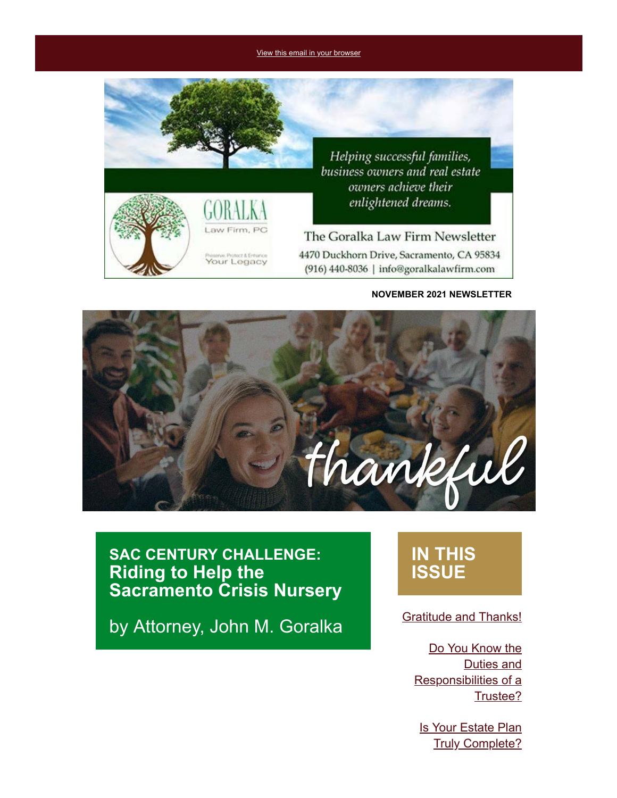#### [View this email in your browser](https://mailchi.mp/goralkalawfirm/november2021newsletter?e=[UNIQID])



**NOVEMBER 2021 NEWSLETTER**



**SAC CENTURY CHALLENGE: Riding to Help the Sacramento Crisis Nursery**

by Attorney, John M. Goralka

# **IN THIS ISSUE**

[Gratitude and Thanks!](https://mailchi.mp/goralkalawfirm/november2021newsletter#thanks)

Do You Know the Duties and [Responsibilities of a](https://mcusercontent.com/37fa00fcaefd5ad4baf8b8e8a/files/db6364f2-1b2b-47f3-4189-ee00446b8000/November2021Newsletter_TrusteeDuties.pdf) Trustee?

**[Is Your Estate Plan](https://www.kiplinger.com/article/retirement/t021-c032-s014-is-your-estate-plan-truly-complete.html)** Truly Complete?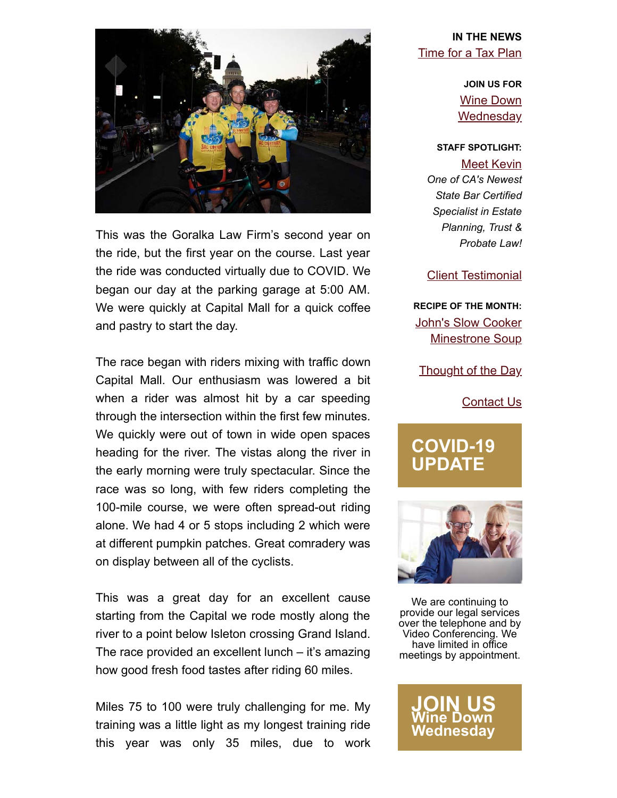

This was the Goralka Law Firm's second year on the ride, but the first year on the course. Last year the ride was conducted virtually due to COVID. We began our day at the parking garage at 5:00 AM. We were quickly at Capital Mall for a quick coffee and pastry to start the day.

The race began with riders mixing with traffic down Capital Mall. Our enthusiasm was lowered a bit when a rider was almost hit by a car speeding through the intersection within the first few minutes. We quickly were out of town in wide open spaces heading for the river. The vistas along the river in the early morning were truly spectacular. Since the race was so long, with few riders completing the 100-mile course, we were often spread-out riding alone. We had 4 or 5 stops including 2 which were at different pumpkin patches. Great comradery was on display between all of the cyclists.

This was a great day for an excellent cause starting from the Capital we rode mostly along the river to a point below Isleton crossing Grand Island. The race provided an excellent lunch – it's amazing how good fresh food tastes after riding 60 miles.

Miles 75 to 100 were truly challenging for me. My training was a little light as my longest training ride this year was only 35 miles, due to work

#### **IN THE NEWS** [Time for a Tax Plan](https://www.comstocksmag.com/longreads/it-time-tax-plan)

**JOIN US FOR** [Wine Down](https://mcusercontent.com/37fa00fcaefd5ad4baf8b8e8a/files/c3ee067c-483a-4ef9-d623-86ff874da3b2/November2021_WineDownWednesday.pdf) **Wednesday** 

**STAFF SPOTLIGHT:** [Meet Kevin](https://mailchi.mp/goralkalawfirm/november2021newsletter#jodi) *One of CA's Newest State Bar Certified Specialist in Estate Planning, Trust & Probate Law!*

[Client Testimonial](https://mailchi.mp/goralkalawfirm/november2021newsletter#client)

**RECIPE OF THE MONTH:** [John's Slow Cooker](https://mailchi.mp/goralkalawfirm/november2021newsletter#recipe) **Minestrone Soup** 

**[Thought of the Day](https://mailchi.mp/goralkalawfirm/november2021newsletter#quote)** 

[Contact Us](https://mailchi.mp/goralkalawfirm/november2021newsletter#contact)

# **COVID-19 UPDATE**



We are continuing to provide our legal services over the telephone and by Video Conferencing. We have limited in office meetings by appointment.

# **JOIN US Wine Down Wednesday**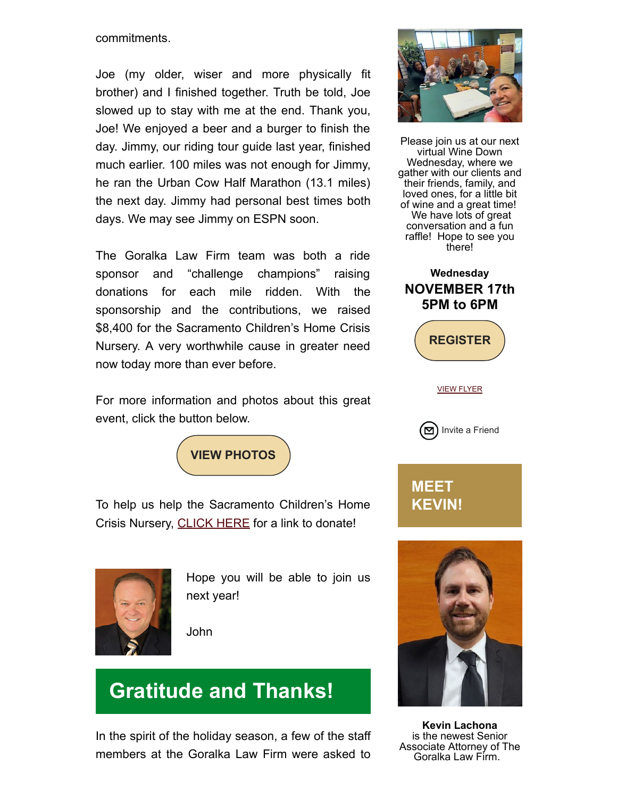#### commitments.

Joe (my older, wiser and more physically fit brother) and I finished together. Truth be told, Joe slowed up to stay with me at the end. Thank you, Joe! We enjoyed a beer and a burger to finish the day. Jimmy, our riding tour guide last year, finished much earlier. 100 miles was not enough for Jimmy, he ran the Urban Cow Half Marathon (13.1 miles) the next day. Jimmy had personal best times both days. We may see Jimmy on ESPN soon.

The Goralka Law Firm team was both a ride sponsor and "challenge champions" raising donations for each mile ridden. With the sponsorship and the contributions, we raised \$8,400 for the Sacramento Children's Home Crisis Nursery. A very worthwhile cause in greater need now today more than ever before.

For more information and photos about this great event, click the button below.



To help us help the Sacramento Children's Home Crisis Nursery, [CLICK HERE](https://www.justgiving.com/team/thegoralkalawfirm) for a link to donate!



Hope you will be able to join us next year!

John

# **Gratitude and Thanks!**

In the spirit of the holiday season, a few of the staff members at the Goralka Law Firm were asked to



Please join us at our next virtual Wine Down Wednesday, where we gather with our clients and their friends, family, and loved ones, for a little bit of wine and a great time! We have lots of great conversation and a fun raffle! Hope to see you there!

## **Wednesday NOVEMBER 17th 5PM to 6PM**



**MEET KEVIN!**



**Kevin Lachona** is the newest Senior Associate Attorney of The Goralka Law Firm.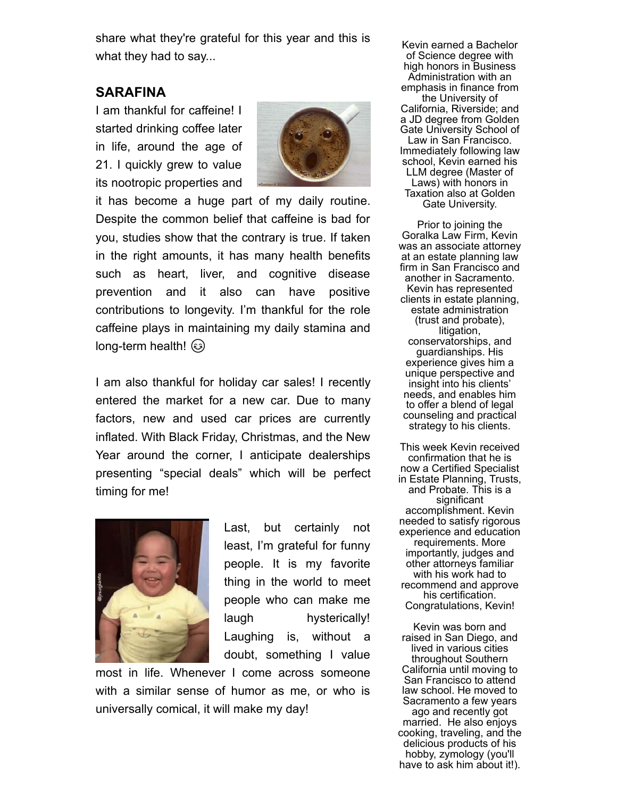share what they're grateful for this year and this is what they had to say...

## **SARAFINA**

I am thankful for caffeine! I started drinking coffee later in life, around the age of 21. I quickly grew to value its nootropic properties and



it has become a huge part of my daily routine. Despite the common belief that caffeine is bad for you, studies show that the contrary is true. If taken in the right amounts, it has many health benefits such as heart, liver, and cognitive disease prevention and it also can have positive contributions to longevity. I'm thankful for the role caffeine plays in maintaining my daily stamina and long-term health!  $\circledcirc$ 

I am also thankful for holiday car sales! I recently entered the market for a new car. Due to many factors, new and used car prices are currently inflated. With Black Friday, Christmas, and the New Year around the corner, I anticipate dealerships presenting "special deals" which will be perfect timing for me!



Last, but certainly not least, I'm grateful for funny people. It is my favorite thing in the world to meet people who can make me laugh hysterically! Laughing is, without a doubt, something I value

most in life. Whenever I come across someone with a similar sense of humor as me, or who is universally comical, it will make my day!

Kevin earned a Bachelor of Science degree with high honors in Business Administration with an emphasis in finance from the University of California, Riverside; and a JD degree from Golden Gate University School of Law in San Francisco. Immediately following law school, Kevin earned his LLM degree (Master of Laws) with honors in Taxation also at Golden Gate University.

Prior to joining the Goralka Law Firm, Kevin was an associate attorney at an estate planning law firm in San Francisco and another in Sacramento. Kevin has represented clients in estate planning, estate administration (trust and probate), litigation, conservatorships, and guardianships. His experience gives him a unique perspective and insight into his clients' needs, and enables him to offer a blend of legal counseling and practical strategy to his clients.

This week Kevin received confirmation that he is now a Certified Specialist in Estate Planning, Trusts, and Probate. This is a significant accomplishment. Kevin needed to satisfy rigorous experience and education requirements. More importantly, judges and other attorneys familiar with his work had to recommend and approve his certification. Congratulations, Kevin!

Kevin was born and raised in San Diego, and lived in various cities throughout Southern California until moving to San Francisco to attend law school. He moved to Sacramento a few years ago and recently got married. He also enjoys cooking, traveling, and the delicious products of his hobby, zymology (you'll have to ask him about it!).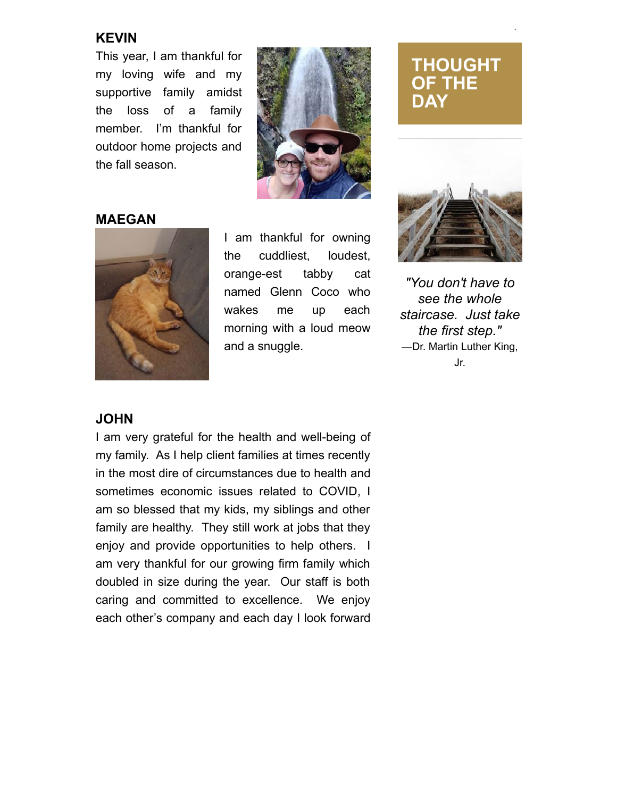## **KEVIN**

This year, I am thankful for my loving wife and my supportive family amidst the loss of a family member. I'm thankful for outdoor home projects and the fall season.



# **THOUGHT OF THE DAY**

 $\overline{a}$ 



# *"You don't have to see the whole staircase. Just take the first step."* —Dr. Martin Luther King, Jr.

#### **MAEGAN**



I am thankful for owning the cuddliest, loudest, orange-est tabby cat named Glenn Coco who wakes me up each morning with a loud meow and a snuggle.

## **JOHN**

I am very grateful for the health and well-being of my family. As I help client families at times recently in the most dire of circumstances due to health and sometimes economic issues related to COVID, I am so blessed that my kids, my siblings and other family are healthy. They still work at jobs that they enjoy and provide opportunities to help others. I am very thankful for our growing firm family which doubled in size during the year. Our staff is both caring and committed to excellence. We enjoy each other's company and each day I look forward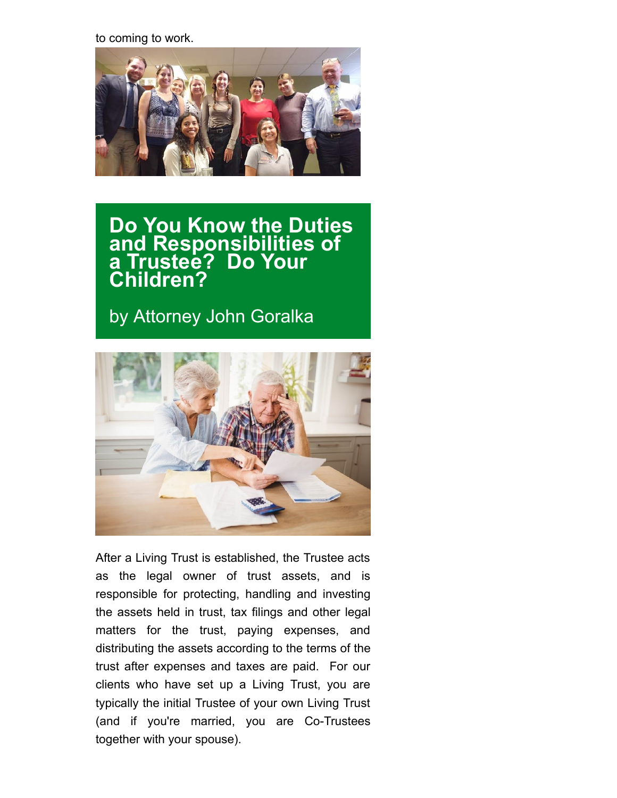to coming to work.



**Do You Know the Duties and Responsibilities of a Trustee? Do Your Children?**

by Attorney John Goralka



After a Living Trust is established, the Trustee acts as the legal owner of trust assets, and is responsible for protecting, handling and investing the assets held in trust, tax filings and other legal matters for the trust, paying expenses, and distributing the assets according to the terms of the trust after expenses and taxes are paid. For our clients who have set up a Living Trust, you are typically the initial Trustee of your own Living Trust (and if you're married, you are Co-Trustees together with your spouse).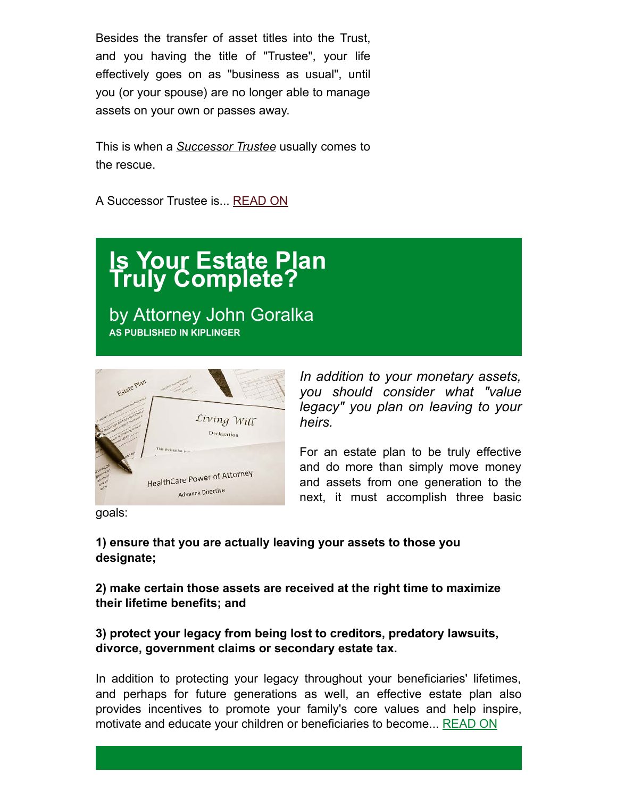Besides the transfer of asset titles into the Trust, and you having the title of "Trustee", your life effectively goes on as "business as usual", until you (or your spouse) are no longer able to manage assets on your own or passes away.

This is when a *Successor Trustee* usually comes to the rescue.

A Successor Trustee is... [READ ON](https://mcusercontent.com/37fa00fcaefd5ad4baf8b8e8a/files/db6364f2-1b2b-47f3-4189-ee00446b8000/November2021Newsletter_TrusteeDuties.pdf)

# **Is Your Estate Plan Truly Complete?**

by Attorney John Goralka **AS PUBLISHED IN KIPLINGER**



*In addition to your monetary assets, you should consider what "value legacy" you plan on leaving to your heirs.*

For an estate plan to be truly effective and do more than simply move money and assets from one generation to the next, it must accomplish three basic

goals:

## **1) ensure that you are actually leaving your assets to those you designate;**

**2) make certain those assets are received at the right time to maximize their lifetime benefits; and**

## **3) protect your legacy from being lost to creditors, predatory lawsuits, divorce, government claims or secondary estate tax.**

In addition to protecting your legacy throughout your beneficiaries' lifetimes, and perhaps for future generations as well, an effective estate plan also provides incentives to promote your family's core values and help inspire, motivate and educate your children or beneficiaries to become... [READ ON](https://www.kiplinger.com/article/retirement/t021-c032-s014-is-your-estate-plan-truly-complete.html)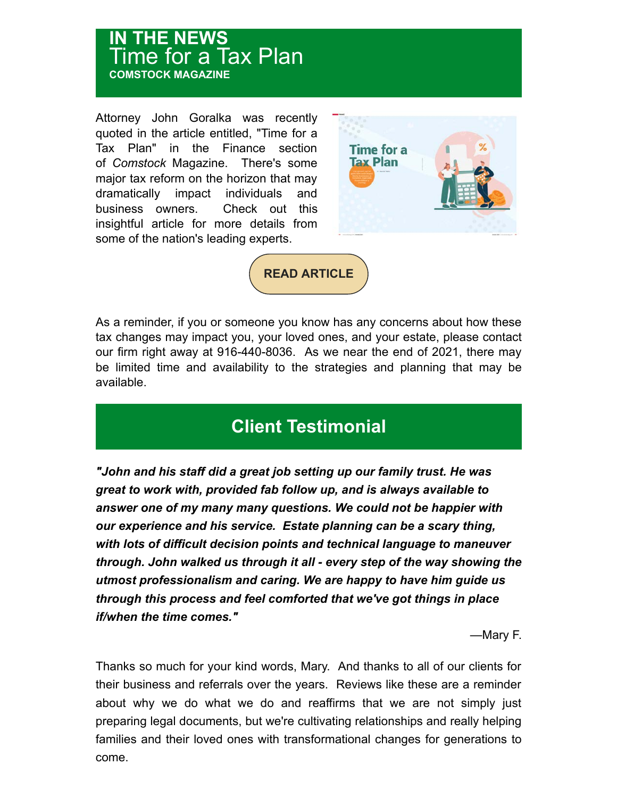Attorney John Goralka was recently quoted in the article entitled, "Time for a Tax Plan" in the Finance section of *Comstock* Magazine. There's some major tax reform on the horizon that may dramatically impact individuals and business owners. Check out this insightful article for more details from some of the nation's leading experts.

Time for a Tax Plan

**ITHE NEWS** 

**COMSTOCK MAGAZINE**



**[READ ARTICLE](https://www.comstocksmag.com/longreads/it-time-tax-plan)**

As a reminder, if you or someone you know has any concerns about how these tax changes may impact you, your loved ones, and your estate, please contact our firm right away at 916-440-8036. As we near the end of 2021, there may be limited time and availability to the strategies and planning that may be available.

# **Client Testimonial**

*"John and his staff did a great job setting up our family trust. He was great to work with, provided fab follow up, and is always available to answer one of my many many questions. We could not be happier with our experience and his service. Estate planning can be a scary thing, with lots of difficult decision points and technical language to maneuver through. John walked us through it all - every step of the way showing the utmost professionalism and caring. We are happy to have him guide us through this process and feel comforted that we've got things in place if/when the time comes."*

—Mary F.

Thanks so much for your kind words, Mary. And thanks to all of our clients for their business and referrals over the years. Reviews like these are a reminder about why we do what we do and reaffirms that we are not simply just preparing legal documents, but we're cultivating relationships and really helping families and their loved ones with transformational changes for generations to come.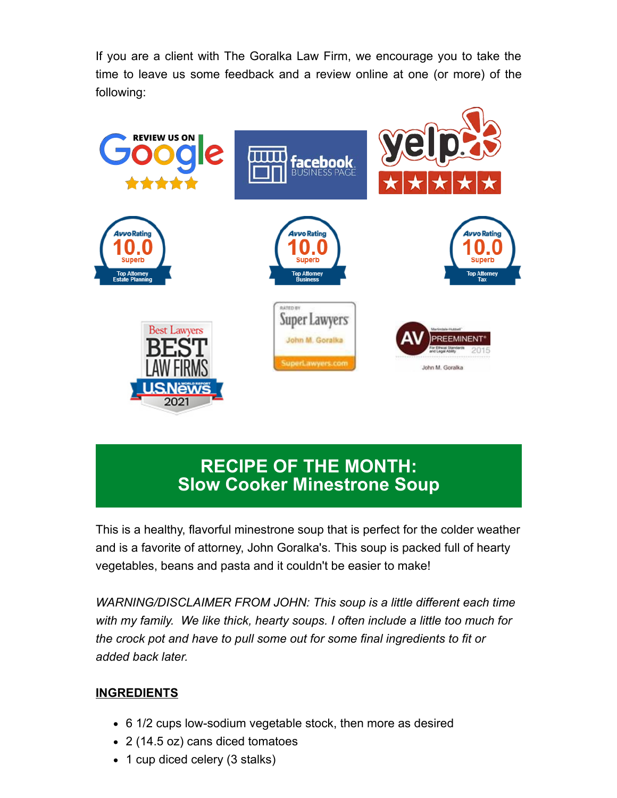If you are a client with The Goralka Law Firm, we encourage you to take the time to leave us some feedback and a review online at one (or more) of the following:



# **RECIPE OF THE MONTH: Slow Cooker Minestrone Soup**

This is a healthy, flavorful minestrone soup that is perfect for the colder weather and is a favorite of attorney, John Goralka's. This soup is packed full of hearty vegetables, beans and pasta and it couldn't be easier to make!

*WARNING/DISCLAIMER FROM JOHN: This soup is a little different each time with my family. We like thick, hearty soups. I often include a little too much for the crock pot and have to pull some out for some final ingredients to fit or added back later.*

# **INGREDIENTS**

- 6 1/2 cups low-sodium vegetable stock, then more as desired
- 2 (14.5 oz) cans diced tomatoes
- 1 cup diced celery (3 stalks)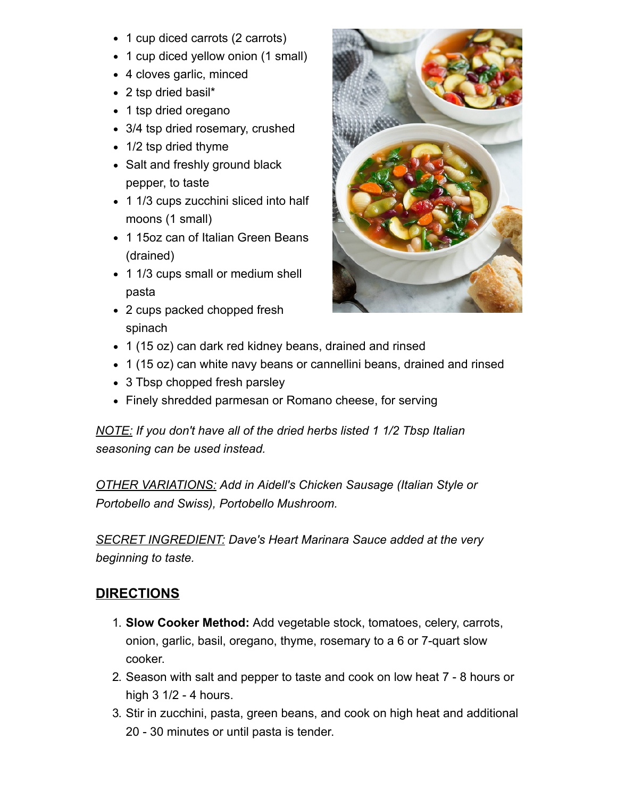- 1 cup diced carrots (2 carrots)
- 1 cup diced yellow onion (1 small)
- 4 cloves garlic, minced
- 2 tsp dried basil\*
- 1 tsp dried oregano
- 3/4 tsp dried rosemary, crushed
- 1/2 tsp dried thyme
- Salt and freshly ground black pepper, to taste
- 1 1/3 cups zucchini sliced into half moons (1 small)
- 115oz can of Italian Green Beans (drained)
- 1 1/3 cups small or medium shell pasta
- 2 cups packed chopped fresh spinach



- 1 (15 oz) can dark red kidney beans, drained and rinsed
- 1 (15 oz) can white navy beans or cannellini beans, drained and rinsed
- 3 Tbsp chopped fresh parsley
- Finely shredded parmesan or Romano cheese, for serving

*NOTE: If you don't have all of the dried herbs listed 1 1/2 Tbsp Italian seasoning can be used instead.*

*OTHER VARIATIONS: Add in Aidell's Chicken Sausage (Italian Style or Portobello and Swiss), Portobello Mushroom.*

*SECRET INGREDIENT: Dave's Heart Marinara Sauce added at the very beginning to taste.*

# **DIRECTIONS**

- 1. **Slow Cooker Method:** Add vegetable stock, tomatoes, celery, carrots, onion, garlic, basil, oregano, thyme, rosemary to a 6 or 7-quart slow cooker.
- 2. Season with salt and pepper to taste and cook on low heat 7 8 hours or high 3 1/2 - 4 hours.
- 3. Stir in zucchini, pasta, green beans, and cook on high heat and additional 20 - 30 minutes or until pasta is tender.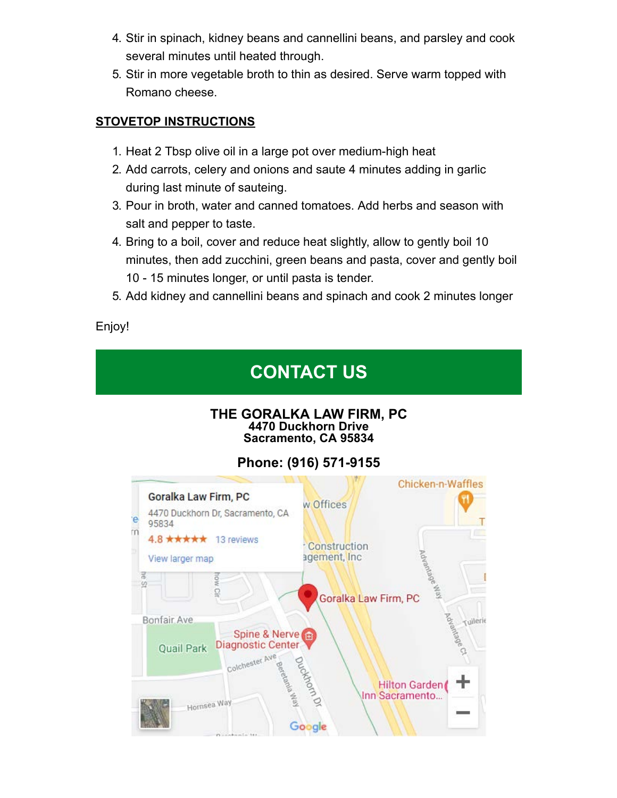- 4. Stir in spinach, kidney beans and cannellini beans, and parsley and cook several minutes until heated through.
- 5. Stir in more vegetable broth to thin as desired. Serve warm topped with Romano cheese.

## **STOVETOP INSTRUCTIONS**

- 1. Heat 2 Tbsp olive oil in a large pot over medium-high heat
- 2. Add carrots, celery and onions and saute 4 minutes adding in garlic during last minute of sauteing.
- 3. Pour in broth, water and canned tomatoes. Add herbs and season with salt and pepper to taste.
- 4. Bring to a boil, cover and reduce heat slightly, allow to gently boil 10 minutes, then add zucchini, green beans and pasta, cover and gently boil 10 - 15 minutes longer, or until pasta is tender.
- 5. Add kidney and cannellini beans and spinach and cook 2 minutes longer

Enjoy!